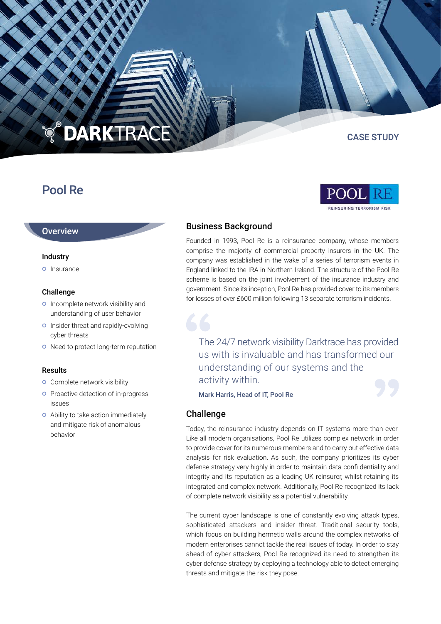## **DARKTRACE PO**

# Pool Re

EINSURING TERRORISM RIS

CASE STUDY



#### Industry

**o** Insurance

#### Challenge

- o Incomplete network visibility and understanding of user behavior
- o Insider threat and rapidly-evolving cyber threats
- o Need to protect long-term reputation

#### Results

- **o** Complete network visibility
- **o** Proactive detection of in-progress issues
- Ability to take action immediately and mitigate risk of anomalous behavior

## Business Background

Founded in 1993, Pool Re is a reinsurance company, whose members comprise the majority of commercial property insurers in the UK. The company was established in the wake of a series of terrorism events in England linked to the IRA in Northern Ireland. The structure of the Pool Re scheme is based on the joint involvement of the insurance industry and government. Since its inception, Pool Re has provided cover to its members for losses of over £600 million following 13 separate terrorism incidents.

The 24/7 network visibility Darktrace has provided us with is invaluable and has transformed our understanding of our systems and the activity within.

Mark Harris, Head of IT, Pool Re

### Challenge

Today, the reinsurance industry depends on IT systems more than ever. Like all modern organisations, Pool Re utilizes complex network in order to provide cover for its numerous members and to carry out effective data analysis for risk evaluation. As such, the company prioritizes its cyber defense strategy very highly in order to maintain data confi dentiality and integrity and its reputation as a leading UK reinsurer, whilst retaining its integrated and complex network. Additionally, Pool Re recognized its lack of complete network visibility as a potential vulnerability.

The current cyber landscape is one of constantly evolving attack types, sophisticated attackers and insider threat. Traditional security tools, which focus on building hermetic walls around the complex networks of modern enterprises cannot tackle the real issues of today. In order to stay ahead of cyber attackers, Pool Re recognized its need to strengthen its cyber defense strategy by deploying a technology able to detect emerging threats and mitigate the risk they pose.